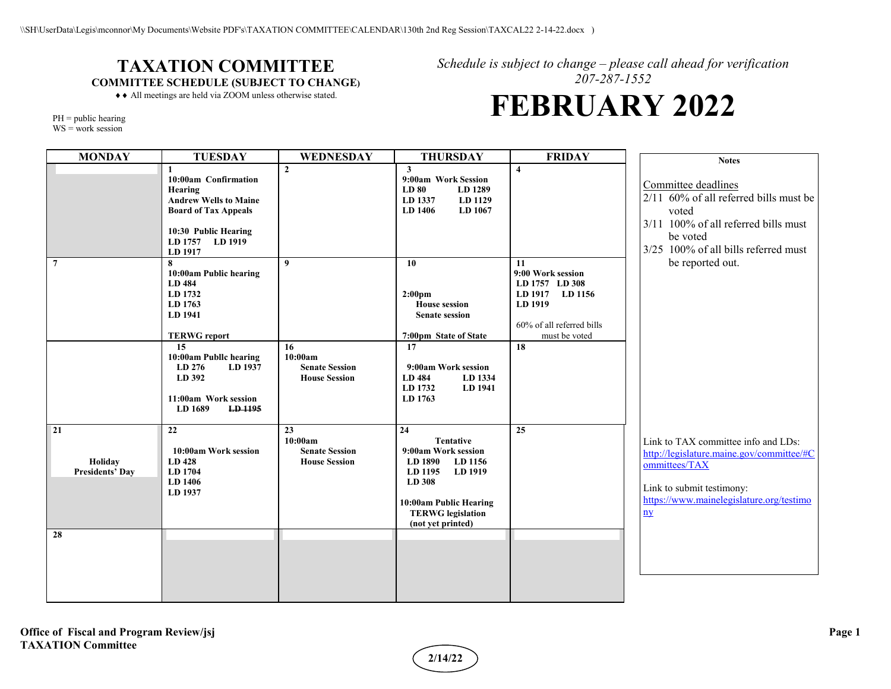## **TAXATION COMMITTEE COMMITTEE SCHEDULE (SUBJECT TO CHANGE)**

*Schedule is subject to change – please call ahead for verification 207-287-1552*

## **FEBRUARY 2022**

♦♦ All meetings are held via ZOOM unless otherwise stated.

| $PH =$ public hearing |  |
|-----------------------|--|
| $WS = work$ session   |  |

| <b>MONDAY</b>                           | <b>TUESDAY</b>                                                                                                                                                                                             | WEDNESDAY                                                                          | <b>THURSDAY</b>                                                                                                                                                                       | <b>FRIDAY</b>                                                                                                                      | <b>Notes</b>                                                                                                                                                                                   |
|-----------------------------------------|------------------------------------------------------------------------------------------------------------------------------------------------------------------------------------------------------------|------------------------------------------------------------------------------------|---------------------------------------------------------------------------------------------------------------------------------------------------------------------------------------|------------------------------------------------------------------------------------------------------------------------------------|------------------------------------------------------------------------------------------------------------------------------------------------------------------------------------------------|
|                                         | 10:00am Confirmation<br>Hearing<br><b>Andrew Wells to Maine</b><br><b>Board of Tax Appeals</b><br>10:30 Public Hearing<br>LD 1757 LD 1919<br>LD 1917                                                       | $\overline{2}$                                                                     | 3<br>9:00am Work Session<br>LD 80<br>LD 1289<br>LD 1337<br>LD 1129<br>LD 1406<br>LD 1067                                                                                              | $\overline{\mathbf{4}}$                                                                                                            | Committee deadlines<br>2/11 60% of all referred bills must be<br>voted<br>3/11 100% of all referred bills must<br>be voted<br>3/25 100% of all bills referred must                             |
| $\overline{7}$                          | 8<br>10:00am Public hearing<br>LD 484<br>LD 1732<br>LD 1763<br>LD 1941<br><b>TERWG</b> report<br>15<br>10:00am Publlc hearing<br>LD 276<br>LD 1937<br>LD 392<br>11:00am Work session<br>LD 1689<br>LD 1195 | $\boldsymbol{q}$<br>16<br>10:00am<br><b>Senate Session</b><br><b>House Session</b> | 10<br>2:00 <sub>pm</sub><br><b>House session</b><br><b>Senate session</b><br>7:00pm State of State<br>17<br>9:00am Work session<br>LD 484<br>LD 1334<br>LD 1732<br>LD 1941<br>LD 1763 | <b>11</b><br>9:00 Work session<br>LD 1757 LD 308<br>LD 1917 LD 1156<br>LD 1919<br>60% of all referred bills<br>must be voted<br>18 | be reported out.                                                                                                                                                                               |
| 21<br>Holiday<br><b>Presidents' Day</b> | 22<br>10:00am Work session<br>LD 428<br>LD 1704<br>LD 1406<br>LD 1937                                                                                                                                      | 23<br>10:00am<br><b>Senate Session</b><br><b>House Session</b>                     | 24<br><b>Tentative</b><br>9:00am Work session<br>LD 1890<br>LD 1156<br>LD 1195<br>LD 1919<br>LD 308<br>10:00am Public Hearing<br><b>TERWG</b> legislation<br>(not yet printed)        | 25                                                                                                                                 | Link to TAX committee info and LDs:<br>http://legislature.maine.gov/committee/#C<br>ommittees/TAX<br>Link to submit testimony:<br>https://www.mainelegislature.org/testimo<br>$\underline{ny}$ |
| 28                                      |                                                                                                                                                                                                            |                                                                                    |                                                                                                                                                                                       |                                                                                                                                    |                                                                                                                                                                                                |